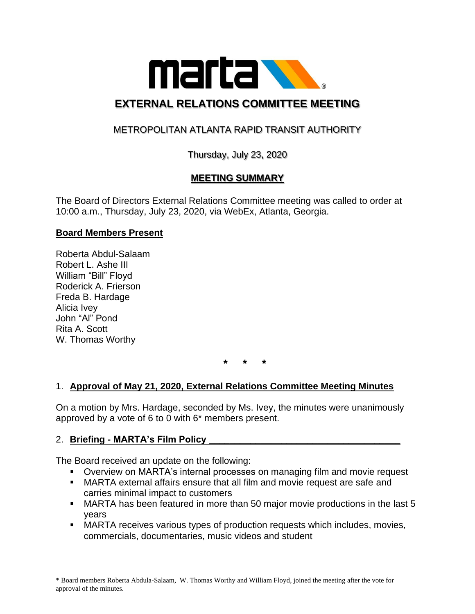

# **EXTERNAL RELATIONS COMMITTEE MEETING**

### METROPOLITAN ATLANTA RAPID TRANSIT AUTHORITY

Thursday, July 23, 2020

### **MEETING SUMMARY**

The Board of Directors External Relations Committee meeting was called to order at 10:00 a.m., Thursday, July 23, 2020, via WebEx, Atlanta, Georgia.

#### **Board Members Present**

Roberta Abdul-Salaam Robert L. Ashe III William "Bill" Floyd Roderick A. Frierson Freda B. Hardage Alicia Ivey John "Al" Pond Rita A. Scott W. Thomas Worthy

**\* \* \***

#### 1. **Approval of May 21, 2020, External Relations Committee Meeting Minutes**

On a motion by Mrs. Hardage, seconded by Ms. Ivey, the minutes were unanimously approved by a vote of 6 to 0 with 6\* members present.

#### 2. **Briefing - MARTA's Film Policy \_\_\_\_\_\_\_\_\_\_\_\_\_\_\_\_\_\_\_\_\_\_\_\_\_\_\_\_\_\_\_\_\_\_\_\_\_**

The Board received an update on the following:

- Overview on MARTA's internal processes on managing film and movie request
- **MARTA external affairs ensure that all film and movie request are safe and** carries minimal impact to customers
- MARTA has been featured in more than 50 major movie productions in the last 5 years
- MARTA receives various types of production requests which includes, movies, commercials, documentaries, music videos and student